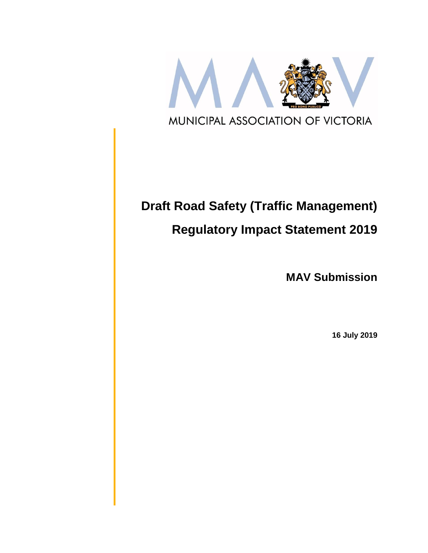

# **Draft Road Safety (Traffic Management)**

# **Regulatory Impact Statement 2019**

**MAV Submission**

**16 July 2019**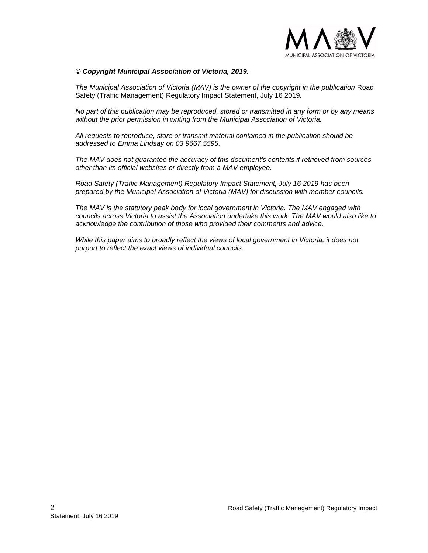

#### *© Copyright Municipal Association of Victoria, 2019.*

*The Municipal Association of Victoria (MAV) is the owner of the copyright in the publication* Road Safety (Traffic Management) Regulatory Impact Statement, July 16 2019*.* 

*No part of this publication may be reproduced, stored or transmitted in any form or by any means without the prior permission in writing from the Municipal Association of Victoria.* 

*All requests to reproduce, store or transmit material contained in the publication should be addressed to Emma Lindsay on 03 9667 5595.* 

*The MAV does not guarantee the accuracy of this document's contents if retrieved from sources other than its official websites or directly from a MAV employee.*

*Road Safety (Traffic Management) Regulatory Impact Statement, July 16 2019 has been prepared by the Municipal Association of Victoria (MAV) for discussion with member councils.*

*The MAV is the statutory peak body for local government in Victoria. The MAV engaged with councils across Victoria to assist the Association undertake this work. The MAV would also like to acknowledge the contribution of those who provided their comments and advice.* 

*While this paper aims to broadly reflect the views of local government in Victoria, it does not purport to reflect the exact views of individual councils.*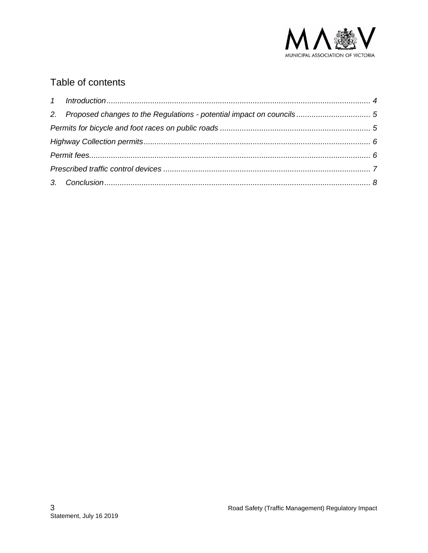

# Table of contents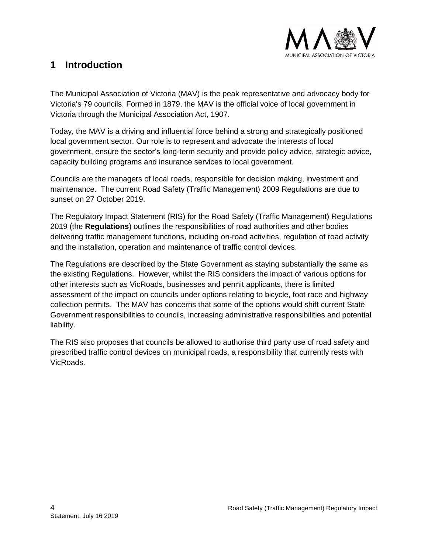

### <span id="page-3-0"></span>**1 Introduction**

The Municipal Association of Victoria (MAV) is the peak representative and advocacy body for Victoria's 79 councils. Formed in 1879, the MAV is the official voice of local government in Victoria through the Municipal Association Act, 1907.

Today, the MAV is a driving and influential force behind a strong and strategically positioned local government sector. Our role is to represent and advocate the interests of local government, ensure the sector's long-term security and provide policy advice, strategic advice, capacity building programs and insurance services to local government.

Councils are the managers of local roads, responsible for decision making, investment and maintenance. The current Road Safety (Traffic Management) 2009 Regulations are due to sunset on 27 October 2019.

The Regulatory Impact Statement (RIS) for the Road Safety (Traffic Management) Regulations 2019 (the **Regulations**) outlines the responsibilities of road authorities and other bodies delivering traffic management functions, including on-road activities, regulation of road activity and the installation, operation and maintenance of traffic control devices.

The Regulations are described by the State Government as staying substantially the same as the existing Regulations. However, whilst the RIS considers the impact of various options for other interests such as VicRoads, businesses and permit applicants, there is limited assessment of the impact on councils under options relating to bicycle, foot race and highway collection permits. The MAV has concerns that some of the options would shift current State Government responsibilities to councils, increasing administrative responsibilities and potential liability.

The RIS also proposes that councils be allowed to authorise third party use of road safety and prescribed traffic control devices on municipal roads, a responsibility that currently rests with VicRoads.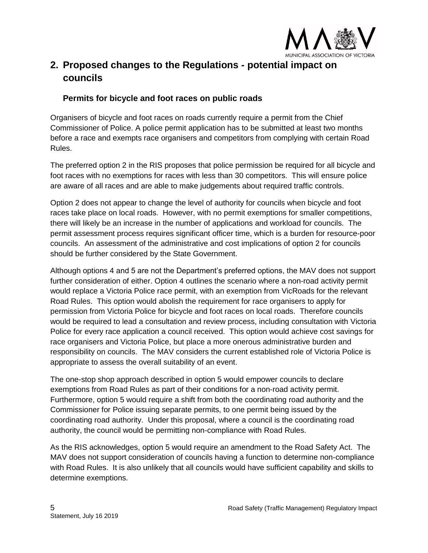

# <span id="page-4-0"></span>**2. Proposed changes to the Regulations - potential impact on councils**

#### <span id="page-4-1"></span>**Permits for bicycle and foot races on public roads**

Organisers of bicycle and foot races on roads currently require a permit from the Chief Commissioner of Police. A police permit application has to be submitted at least two months before a race and exempts race organisers and competitors from complying with certain Road Rules.

The preferred option 2 in the RIS proposes that police permission be required for all bicycle and foot races with no exemptions for races with less than 30 competitors. This will ensure police are aware of all races and are able to make judgements about required traffic controls.

Option 2 does not appear to change the level of authority for councils when bicycle and foot races take place on local roads. However, with no permit exemptions for smaller competitions, there will likely be an increase in the number of applications and workload for councils. The permit assessment process requires significant officer time, which is a burden for resource-poor councils. An assessment of the administrative and cost implications of option 2 for councils should be further considered by the State Government.

Although options 4 and 5 are not the Department's preferred options, the MAV does not support further consideration of either. Option 4 outlines the scenario where a non-road activity permit would replace a Victoria Police race permit, with an exemption from VicRoads for the relevant Road Rules. This option would abolish the requirement for race organisers to apply for permission from Victoria Police for bicycle and foot races on local roads. Therefore councils would be required to lead a consultation and review process, including consultation with Victoria Police for every race application a council received. This option would achieve cost savings for race organisers and Victoria Police, but place a more onerous administrative burden and responsibility on councils. The MAV considers the current established role of Victoria Police is appropriate to assess the overall suitability of an event.

The one-stop shop approach described in option 5 would empower councils to declare exemptions from Road Rules as part of their conditions for a non-road activity permit. Furthermore, option 5 would require a shift from both the coordinating road authority and the Commissioner for Police issuing separate permits, to one permit being issued by the coordinating road authority. Under this proposal, where a council is the coordinating road authority, the council would be permitting non-compliance with Road Rules.

As the RIS acknowledges, option 5 would require an amendment to the Road Safety Act. The MAV does not support consideration of councils having a function to determine non-compliance with Road Rules. It is also unlikely that all councils would have sufficient capability and skills to determine exemptions.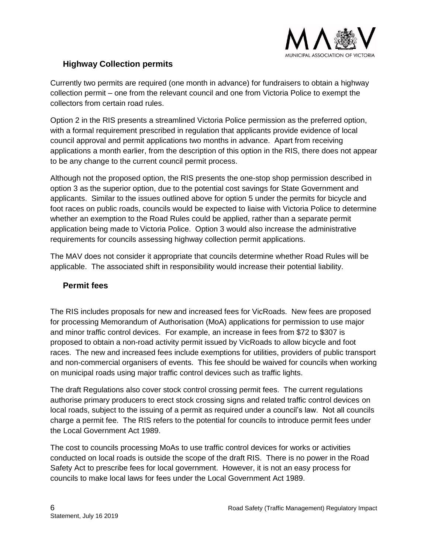

#### <span id="page-5-0"></span>**Highway Collection permits**

Currently two permits are required (one month in advance) for fundraisers to obtain a highway collection permit – one from the relevant council and one from Victoria Police to exempt the collectors from certain road rules.

Option 2 in the RIS presents a streamlined Victoria Police permission as the preferred option, with a formal requirement prescribed in regulation that applicants provide evidence of local council approval and permit applications two months in advance. Apart from receiving applications a month earlier, from the description of this option in the RIS, there does not appear to be any change to the current council permit process.

Although not the proposed option, the RIS presents the one-stop shop permission described in option 3 as the superior option, due to the potential cost savings for State Government and applicants. Similar to the issues outlined above for option 5 under the permits for bicycle and foot races on public roads, councils would be expected to liaise with Victoria Police to determine whether an exemption to the Road Rules could be applied, rather than a separate permit application being made to Victoria Police. Option 3 would also increase the administrative requirements for councils assessing highway collection permit applications.

The MAV does not consider it appropriate that councils determine whether Road Rules will be applicable. The associated shift in responsibility would increase their potential liability.

#### <span id="page-5-1"></span>**Permit fees**

The RIS includes proposals for new and increased fees for VicRoads. New fees are proposed for processing Memorandum of Authorisation (MoA) applications for permission to use major and minor traffic control devices. For example, an increase in fees from \$72 to \$307 is proposed to obtain a non-road activity permit issued by VicRoads to allow bicycle and foot races. The new and increased fees include exemptions for utilities, providers of public transport and non-commercial organisers of events. This fee should be waived for councils when working on municipal roads using major traffic control devices such as traffic lights.

The draft Regulations also cover stock control crossing permit fees. The current regulations authorise primary producers to erect stock crossing signs and related traffic control devices on local roads, subject to the issuing of a permit as required under a council's law. Not all councils charge a permit fee. The RIS refers to the potential for councils to introduce permit fees under the Local Government Act 1989.

The cost to councils processing MoAs to use traffic control devices for works or activities conducted on local roads is outside the scope of the draft RIS. There is no power in the Road Safety Act to prescribe fees for local government. However, it is not an easy process for councils to make local laws for fees under the Local Government Act 1989.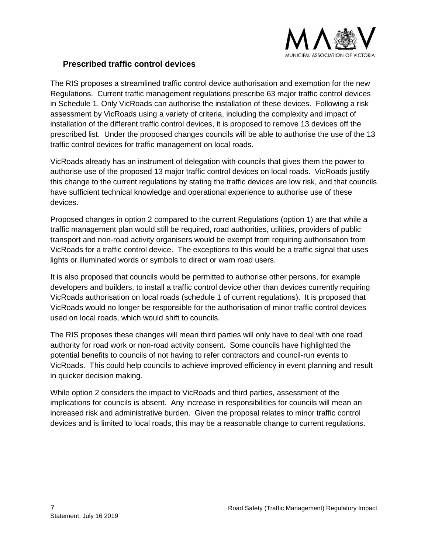

#### <span id="page-6-0"></span>**Prescribed traffic control devices**

The RIS proposes a streamlined traffic control device authorisation and exemption for the new Regulations. Current traffic management regulations prescribe 63 major traffic control devices in Schedule 1. Only VicRoads can authorise the installation of these devices. Following a risk assessment by VicRoads using a variety of criteria, including the complexity and impact of installation of the different traffic control devices, it is proposed to remove 13 devices off the prescribed list. Under the proposed changes councils will be able to authorise the use of the 13 traffic control devices for traffic management on local roads.

VicRoads already has an instrument of delegation with councils that gives them the power to authorise use of the proposed 13 major traffic control devices on local roads. VicRoads justify this change to the current regulations by stating the traffic devices are low risk, and that councils have sufficient technical knowledge and operational experience to authorise use of these devices.

Proposed changes in option 2 compared to the current Regulations (option 1) are that while a traffic management plan would still be required, road authorities, utilities, providers of public transport and non-road activity organisers would be exempt from requiring authorisation from VicRoads for a traffic control device. The exceptions to this would be a traffic signal that uses lights or illuminated words or symbols to direct or warn road users.

It is also proposed that councils would be permitted to authorise other persons, for example developers and builders, to install a traffic control device other than devices currently requiring VicRoads authorisation on local roads (schedule 1 of current regulations). It is proposed that VicRoads would no longer be responsible for the authorisation of minor traffic control devices used on local roads, which would shift to councils.

The RIS proposes these changes will mean third parties will only have to deal with one road authority for road work or non-road activity consent. Some councils have highlighted the potential benefits to councils of not having to refer contractors and council-run events to VicRoads. This could help councils to achieve improved efficiency in event planning and result in quicker decision making.

While option 2 considers the impact to VicRoads and third parties, assessment of the implications for councils is absent. Any increase in responsibilities for councils will mean an increased risk and administrative burden. Given the proposal relates to minor traffic control devices and is limited to local roads, this may be a reasonable change to current regulations.